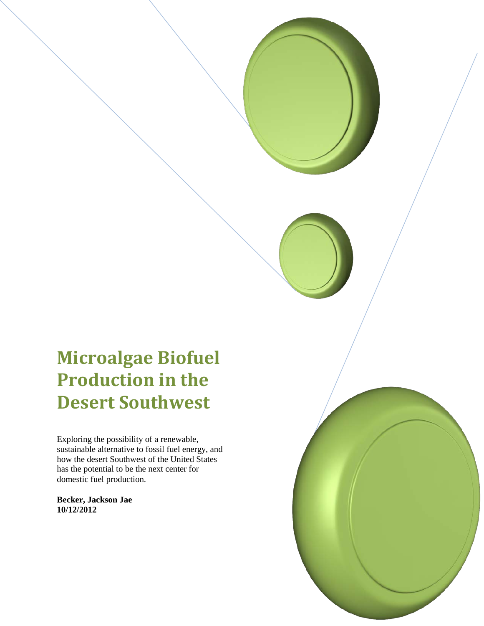# **Microalgae Biofuel Production in the Desert Southwest**

Exploring the possibility of a renewable, sustainable alternative to fossil fuel energy, and how the desert Southwest of the United States has the potential to be the next center for domestic fuel production.

**Becker, Jackson Jae 10/12/2012**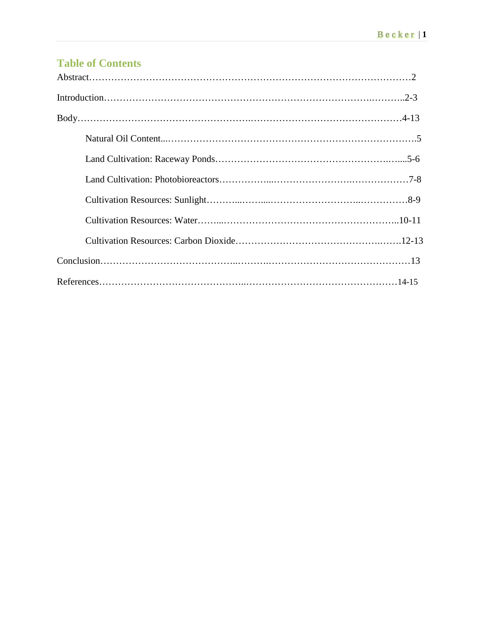# **Table of Contents**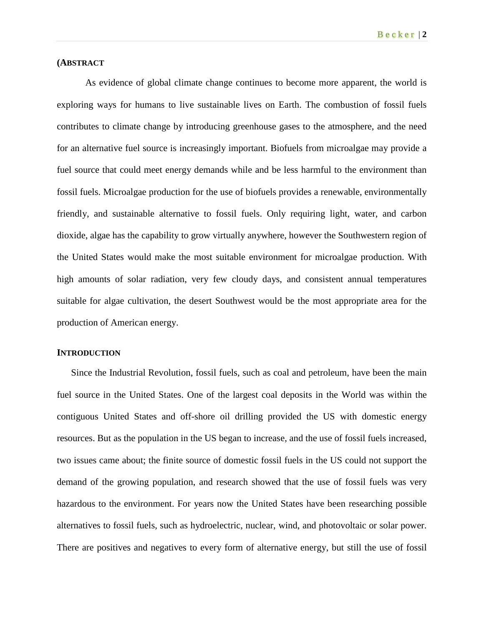#### **(ABSTRACT**

As evidence of global climate change continues to become more apparent, the world is exploring ways for humans to live sustainable lives on Earth. The combustion of fossil fuels contributes to climate change by introducing greenhouse gases to the atmosphere, and the need for an alternative fuel source is increasingly important. Biofuels from microalgae may provide a fuel source that could meet energy demands while and be less harmful to the environment than fossil fuels. Microalgae production for the use of biofuels provides a renewable, environmentally friendly, and sustainable alternative to fossil fuels. Only requiring light, water, and carbon dioxide, algae has the capability to grow virtually anywhere, however the Southwestern region of the United States would make the most suitable environment for microalgae production. With high amounts of solar radiation, very few cloudy days, and consistent annual temperatures suitable for algae cultivation, the desert Southwest would be the most appropriate area for the production of American energy.

#### **INTRODUCTION**

Since the Industrial Revolution, fossil fuels, such as coal and petroleum, have been the main fuel source in the United States. One of the largest coal deposits in the World was within the contiguous United States and off-shore oil drilling provided the US with domestic energy resources. But as the population in the US began to increase, and the use of fossil fuels increased, two issues came about; the finite source of domestic fossil fuels in the US could not support the demand of the growing population, and research showed that the use of fossil fuels was very hazardous to the environment. For years now the United States have been researching possible alternatives to fossil fuels, such as hydroelectric, nuclear, wind, and photovoltaic or solar power. There are positives and negatives to every form of alternative energy, but still the use of fossil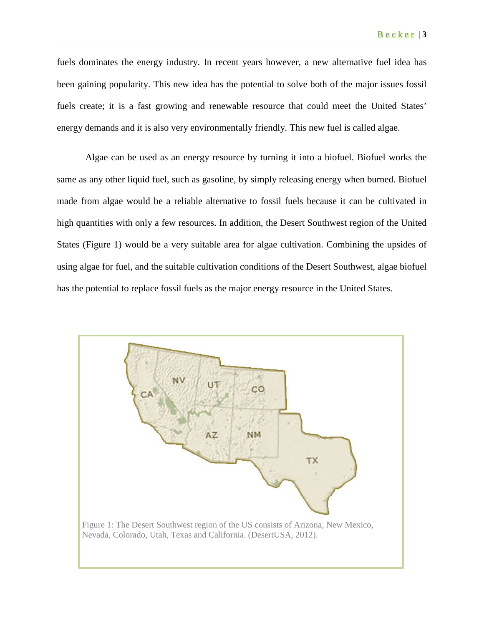fuels dominates the energy industry. In recent years however, a new alternative fuel idea has been gaining popularity. This new idea has the potential to solve both of the major issues fossil fuels create; it is a fast growing and renewable resource that could meet the United States' energy demands and it is also very environmentally friendly. This new fuel is called algae.

Algae can be used as an energy resource by turning it into a biofuel. Biofuel works the same as any other liquid fuel, such as gasoline, by simply releasing energy when burned. Biofuel made from algae would be a reliable alternative to fossil fuels because it can be cultivated in high quantities with only a few resources. In addition, the Desert Southwest region of the United States (Figure 1) would be a very suitable area for algae cultivation. Combining the upsides of using algae for fuel, and the suitable cultivation conditions of the Desert Southwest, algae biofuel has the potential to replace fossil fuels as the major energy resource in the United States.

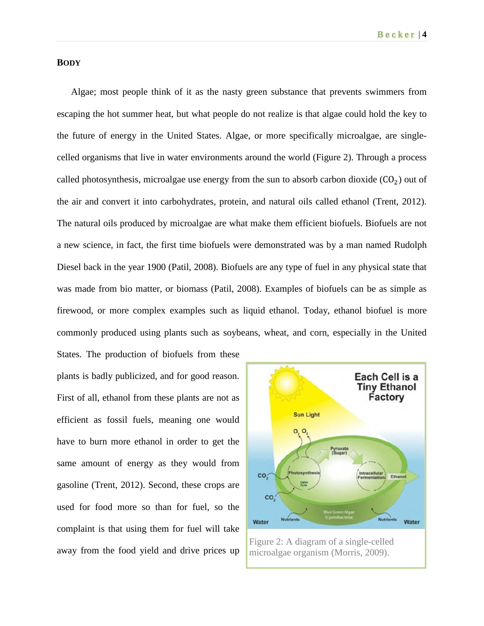# **BODY**

Algae; most people think of it as the nasty green substance that prevents swimmers from escaping the hot summer heat, but what people do not realize is that algae could hold the key to the future of energy in the United States. Algae, or more specifically microalgae, are singlecelled organisms that live in water environments around the world (Figure 2). Through a process called photosynthesis, microalgae use energy from the sun to absorb carbon dioxide  $(CO<sub>2</sub>)$  out of the air and convert it into carbohydrates, protein, and natural oils called ethanol (Trent, 2012). The natural oils produced by microalgae are what make them efficient biofuels. Biofuels are not a new science, in fact, the first time biofuels were demonstrated was by a man named Rudolph Diesel back in the year 1900 (Patil, 2008). Biofuels are any type of fuel in any physical state that was made from bio matter, or biomass (Patil, 2008). Examples of biofuels can be as simple as firewood, or more complex examples such as liquid ethanol. Today, ethanol biofuel is more commonly produced using plants such as soybeans, wheat, and corn, especially in the United

States. The production of biofuels from these plants is badly publicized, and for good reason. First of all, ethanol from these plants are not as efficient as fossil fuels, meaning one would have to burn more ethanol in order to get the same amount of energy as they would from gasoline (Trent, 2012). Second, these crops are used for food more so than for fuel, so the complaint is that using them for fuel will take away from the food yield and drive prices up



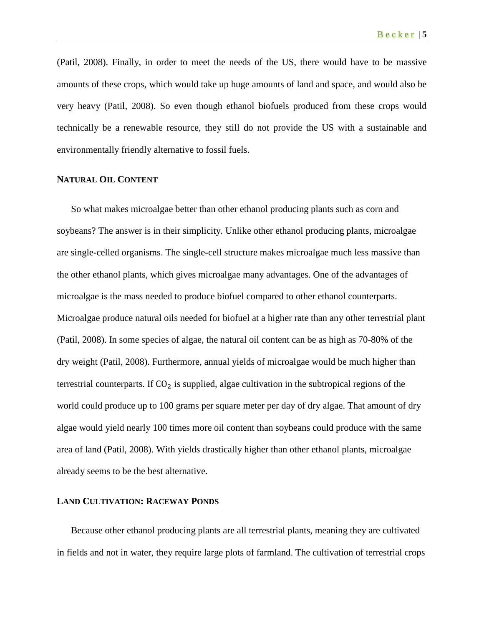(Patil, 2008). Finally, in order to meet the needs of the US, there would have to be massive amounts of these crops, which would take up huge amounts of land and space, and would also be very heavy (Patil, 2008). So even though ethanol biofuels produced from these crops would technically be a renewable resource, they still do not provide the US with a sustainable and environmentally friendly alternative to fossil fuels.

#### **NATURAL OIL CONTENT**

So what makes microalgae better than other ethanol producing plants such as corn and soybeans? The answer is in their simplicity. Unlike other ethanol producing plants, microalgae are single-celled organisms. The single-cell structure makes microalgae much less massive than the other ethanol plants, which gives microalgae many advantages. One of the advantages of microalgae is the mass needed to produce biofuel compared to other ethanol counterparts. Microalgae produce natural oils needed for biofuel at a higher rate than any other terrestrial plant (Patil, 2008). In some species of algae, the natural oil content can be as high as 70-80% of the dry weight (Patil, 2008). Furthermore, annual yields of microalgae would be much higher than terrestrial counterparts. If  $CO<sub>2</sub>$  is supplied, algae cultivation in the subtropical regions of the world could produce up to 100 grams per square meter per day of dry algae. That amount of dry algae would yield nearly 100 times more oil content than soybeans could produce with the same area of land (Patil, 2008). With yields drastically higher than other ethanol plants, microalgae already seems to be the best alternative.

#### **LAND CULTIVATION: RACEWAY PONDS**

Because other ethanol producing plants are all terrestrial plants, meaning they are cultivated in fields and not in water, they require large plots of farmland. The cultivation of terrestrial crops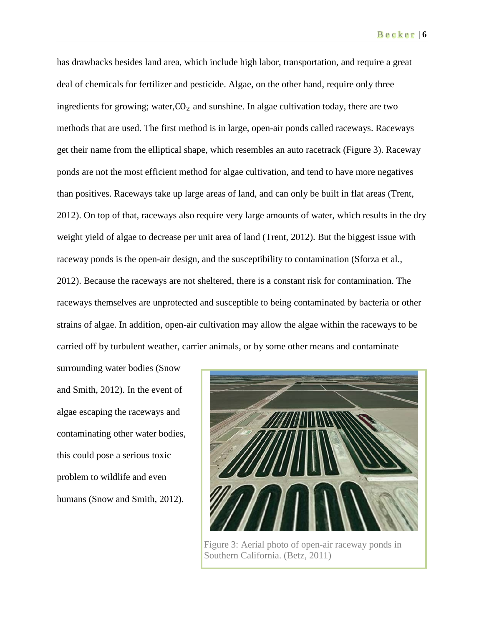has drawbacks besides land area, which include high labor, transportation, and require a great deal of chemicals for fertilizer and pesticide. Algae, on the other hand, require only three ingredients for growing; water, $CO<sub>2</sub>$  and sunshine. In algae cultivation today, there are two methods that are used. The first method is in large, open-air ponds called raceways. Raceways get their name from the elliptical shape, which resembles an auto racetrack (Figure 3). Raceway ponds are not the most efficient method for algae cultivation, and tend to have more negatives than positives. Raceways take up large areas of land, and can only be built in flat areas (Trent, 2012). On top of that, raceways also require very large amounts of water, which results in the dry weight yield of algae to decrease per unit area of land (Trent, 2012). But the biggest issue with raceway ponds is the open-air design, and the susceptibility to contamination (Sforza et al., 2012). Because the raceways are not sheltered, there is a constant risk for contamination. The raceways themselves are unprotected and susceptible to being contaminated by bacteria or other strains of algae. In addition, open-air cultivation may allow the algae within the raceways to be carried off by turbulent weather, carrier animals, or by some other means and contaminate

surrounding water bodies (Snow and Smith, 2012). In the event of algae escaping the raceways and contaminating other water bodies, this could pose a serious toxic problem to wildlife and even humans (Snow and Smith, 2012).



Figure 3: Aerial photo of open-air raceway ponds in Southern California. (Betz, 2011)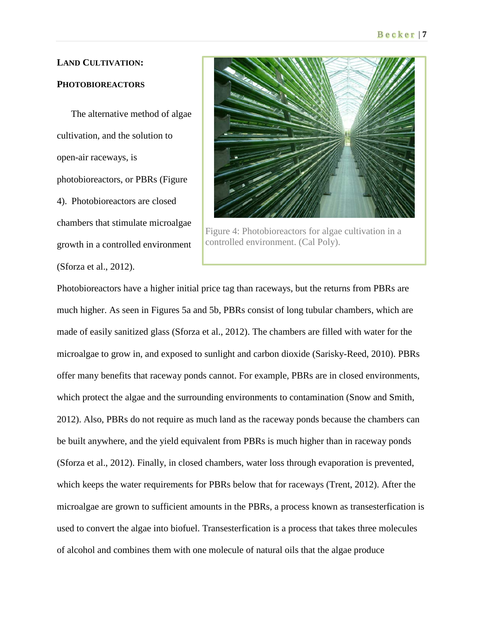# **LAND CULTIVATION:**

# **PHOTOBIOREACTORS**

The alternative method of algae cultivation, and the solution to open-air raceways, is photobioreactors, or PBRs (Figure 4). Photobioreactors are closed chambers that stimulate microalgae growth in a controlled environment (Sforza et al., 2012).



Figure 4: Photobioreactors for algae cultivation in a controlled environment. (Cal Poly).

Photobioreactors have a higher initial price tag than raceways, but the returns from PBRs are much higher. As seen in Figures 5a and 5b, PBRs consist of long tubular chambers, which are made of easily sanitized glass (Sforza et al., 2012). The chambers are filled with water for the microalgae to grow in, and exposed to sunlight and carbon dioxide (Sarisky-Reed, 2010). PBRs offer many benefits that raceway ponds cannot. For example, PBRs are in closed environments, which protect the algae and the surrounding environments to contamination (Snow and Smith, 2012). Also, PBRs do not require as much land as the raceway ponds because the chambers can be built anywhere, and the yield equivalent from PBRs is much higher than in raceway ponds (Sforza et al., 2012). Finally, in closed chambers, water loss through evaporation is prevented, which keeps the water requirements for PBRs below that for raceways (Trent, 2012). After the microalgae are grown to sufficient amounts in the PBRs, a process known as transesterfication is used to convert the algae into biofuel. Transesterfication is a process that takes three molecules of alcohol and combines them with one molecule of natural oils that the algae produce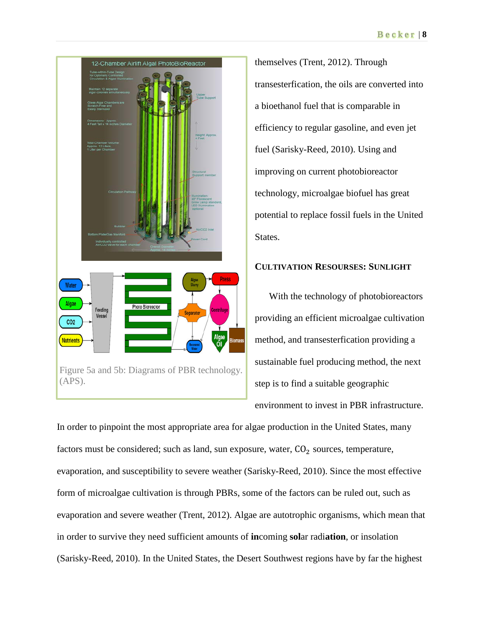

themselves (Trent, 2012). Through transesterfication, the oils are converted into a bioethanol fuel that is comparable in efficiency to regular gasoline, and even jet fuel (Sarisky-Reed, 2010). Using and improving on current photobioreactor technology, microalgae biofuel has great potential to replace fossil fuels in the United States.

# **CULTIVATION RESOURSES: SUNLIGHT**

With the technology of photobioreactors providing an efficient microalgae cultivation method, and transesterfication providing a sustainable fuel producing method, the next step is to find a suitable geographic environment to invest in PBR infrastructure.

In order to pinpoint the most appropriate area for algae production in the United States, many factors must be considered; such as land, sun exposure, water,  $CO<sub>2</sub>$  sources, temperature, evaporation, and susceptibility to severe weather (Sarisky-Reed, 2010). Since the most effective form of microalgae cultivation is through PBRs, some of the factors can be ruled out, such as evaporation and severe weather (Trent, 2012). Algae are autotrophic organisms, which mean that in order to survive they need sufficient amounts of **in**coming **sol**ar radi**ation**, or insolation (Sarisky-Reed, 2010). In the United States, the Desert Southwest regions have by far the highest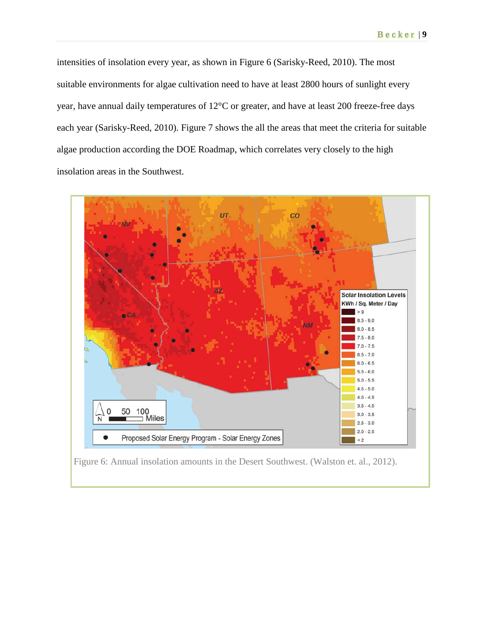intensities of insolation every year, as shown in Figure 6 (Sarisky-Reed, 2010). The most suitable environments for algae cultivation need to have at least 2800 hours of sunlight every year, have annual daily temperatures of 12°C or greater, and have at least 200 freeze-free days each year (Sarisky-Reed, 2010). Figure 7 shows the all the areas that meet the criteria for suitable algae production according the DOE Roadmap, which correlates very closely to the high insolation areas in the Southwest.



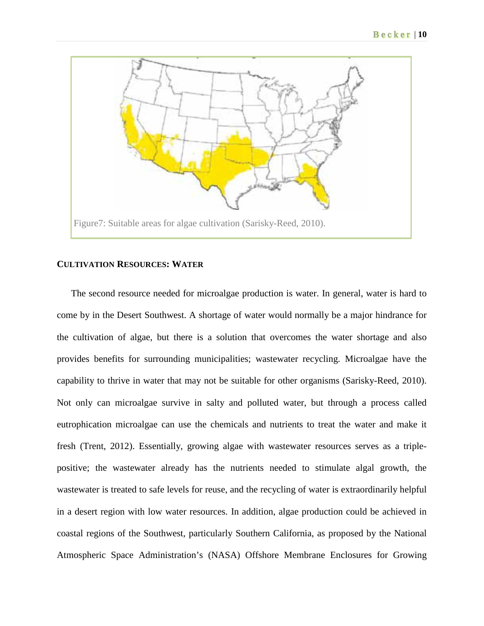

#### **CULTIVATION RESOURCES: WATER**

The second resource needed for microalgae production is water. In general, water is hard to come by in the Desert Southwest. A shortage of water would normally be a major hindrance for the cultivation of algae, but there is a solution that overcomes the water shortage and also provides benefits for surrounding municipalities; wastewater recycling. Microalgae have the capability to thrive in water that may not be suitable for other organisms (Sarisky-Reed, 2010). Not only can microalgae survive in salty and polluted water, but through a process called eutrophication microalgae can use the chemicals and nutrients to treat the water and make it fresh (Trent, 2012). Essentially, growing algae with wastewater resources serves as a triplepositive; the wastewater already has the nutrients needed to stimulate algal growth, the wastewater is treated to safe levels for reuse, and the recycling of water is extraordinarily helpful in a desert region with low water resources. In addition, algae production could be achieved in coastal regions of the Southwest, particularly Southern California, as proposed by the National Atmospheric Space Administration's (NASA) Offshore Membrane Enclosures for Growing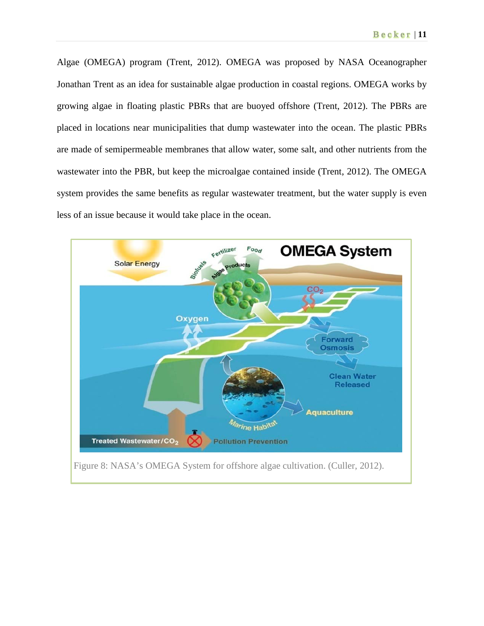Algae (OMEGA) program (Trent, 2012). OMEGA was proposed by NASA Oceanographer Jonathan Trent as an idea for sustainable algae production in coastal regions. OMEGA works by growing algae in floating plastic PBRs that are buoyed offshore (Trent, 2012). The PBRs are placed in locations near municipalities that dump wastewater into the ocean. The plastic PBRs are made of semipermeable membranes that allow water, some salt, and other nutrients from the wastewater into the PBR, but keep the microalgae contained inside (Trent, 2012). The OMEGA system provides the same benefits as regular wastewater treatment, but the water supply is even less of an issue because it would take place in the ocean.

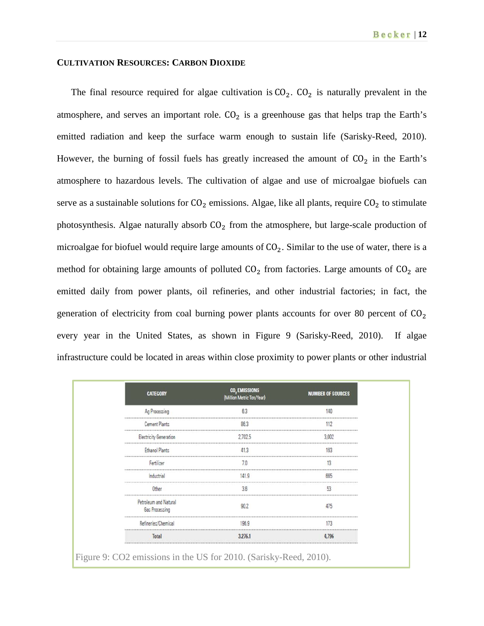# **CULTIVATION RESOURCES: CARBON DIOXIDE**

The final resource required for algae cultivation is  $CO<sub>2</sub>$ .  $CO<sub>2</sub>$  is naturally prevalent in the atmosphere, and serves an important role.  $CO<sub>2</sub>$  is a greenhouse gas that helps trap the Earth's emitted radiation and keep the surface warm enough to sustain life (Sarisky-Reed, 2010). However, the burning of fossil fuels has greatly increased the amount of  $CO<sub>2</sub>$  in the Earth's atmosphere to hazardous levels. The cultivation of algae and use of microalgae biofuels can serve as a sustainable solutions for  $CO<sub>2</sub>$  emissions. Algae, like all plants, require  $CO<sub>2</sub>$  to stimulate photosynthesis. Algae naturally absorb  $CO<sub>2</sub>$  from the atmosphere, but large-scale production of microalgae for biofuel would require large amounts of  $CO<sub>2</sub>$ . Similar to the use of water, there is a method for obtaining large amounts of polluted  $CO<sub>2</sub>$  from factories. Large amounts of  $CO<sub>2</sub>$  are emitted daily from power plants, oil refineries, and other industrial factories; in fact, the generation of electricity from coal burning power plants accounts for over 80 percent of  $CO<sub>2</sub>$ every year in the United States, as shown in Figure 9 (Sarisky-Reed, 2010). If algae infrastructure could be located in areas within close proximity to power plants or other industrial

| <b>CATEGORY</b>                         | (Million Metric Ton/Year) | <b>NUMBER OF SOURCES</b> |
|-----------------------------------------|---------------------------|--------------------------|
| Ag Processing                           | 63                        | 140                      |
| <b>Cement Plants</b>                    |                           |                          |
| Electricity Generation                  | 2 702 5                   | 3.002                    |
| <b>Ethanol Plants</b>                   |                           | 163                      |
| Fertilizer                              |                           |                          |
| Industrial                              | 1419                      | 665                      |
|                                         | 3.6                       | 53                       |
| Petroleum and Natural<br>Gas Processing |                           | 475                      |
| Refineries/Chemical                     | 196.9                     |                          |
| Total                                   | 3.276.1                   |                          |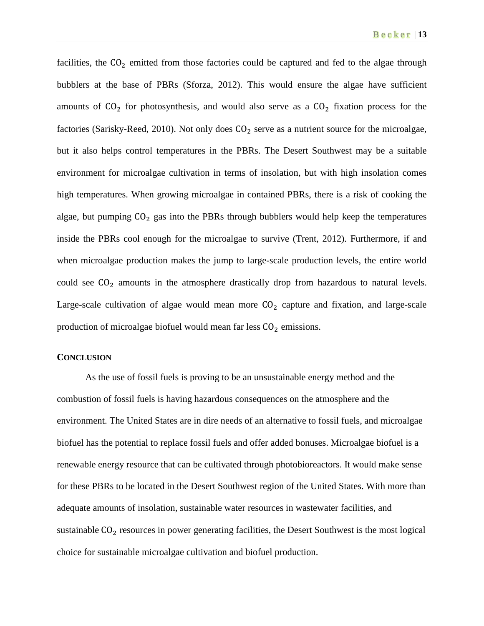facilities, the  $CO<sub>2</sub>$  emitted from those factories could be captured and fed to the algae through bubblers at the base of PBRs (Sforza, 2012). This would ensure the algae have sufficient amounts of  $CO<sub>2</sub>$  for photosynthesis, and would also serve as a  $CO<sub>2</sub>$  fixation process for the factories (Sarisky-Reed, 2010). Not only does  $CO<sub>2</sub>$  serve as a nutrient source for the microalgae, but it also helps control temperatures in the PBRs. The Desert Southwest may be a suitable environment for microalgae cultivation in terms of insolation, but with high insolation comes high temperatures. When growing microalgae in contained PBRs, there is a risk of cooking the algae, but pumping  $CO<sub>2</sub>$  gas into the PBRs through bubblers would help keep the temperatures inside the PBRs cool enough for the microalgae to survive (Trent, 2012). Furthermore, if and when microalgae production makes the jump to large-scale production levels, the entire world could see  $CO<sub>2</sub>$  amounts in the atmosphere drastically drop from hazardous to natural levels. Large-scale cultivation of algae would mean more  $CO<sub>2</sub>$  capture and fixation, and large-scale production of microalgae biofuel would mean far less  $CO<sub>2</sub>$  emissions.

#### **CONCLUSION**

As the use of fossil fuels is proving to be an unsustainable energy method and the combustion of fossil fuels is having hazardous consequences on the atmosphere and the environment. The United States are in dire needs of an alternative to fossil fuels, and microalgae biofuel has the potential to replace fossil fuels and offer added bonuses. Microalgae biofuel is a renewable energy resource that can be cultivated through photobioreactors. It would make sense for these PBRs to be located in the Desert Southwest region of the United States. With more than adequate amounts of insolation, sustainable water resources in wastewater facilities, and sustainable  $CO<sub>2</sub>$  resources in power generating facilities, the Desert Southwest is the most logical choice for sustainable microalgae cultivation and biofuel production.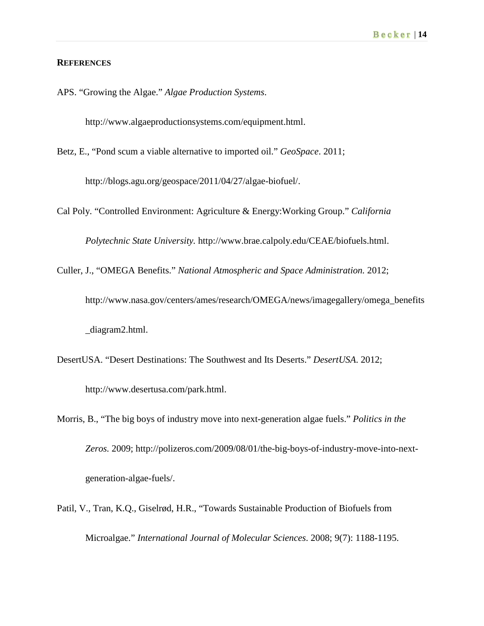#### **REFERENCES**

APS. "Growing the Algae." *Algae Production Systems*.

[http://www.algaeproductionsystems.com/equipment.html.](http://www.algaeproductionsystems.com/equipment.html)

Betz, E., "Pond scum a viable alternative to imported oil." *GeoSpace*. 2011;

[http://blogs.agu.org/geospace/2011/04/27/algae-biofuel/.](http://blogs.agu.org/geospace/2011/04/27/algae-biofuel/)

Cal Poly. "Controlled Environment: Agriculture & Energy:Working Group." *California* 

*Polytechnic State University.* [http://www.brae.calpoly.edu/CEAE/biofuels.html.](http://www.brae.calpoly.edu/CEAE/biofuels.html)

Culler, J., "OMEGA Benefits." *National Atmospheric and Space Administration.* 2012;

[http://www.nasa.gov/centers/ames/research/OMEGA/news/imagegallery/omega\\_benefits](http://www.nasa.gov/centers/ames/research/OMEGA/news/imagegallery/omega_benefits) \_diagram2.html.

- DesertUSA. "Desert Destinations: The Southwest and Its Deserts." *DesertUSA*. 2012; [http://www.desertusa.com/park.html.](http://www.desertusa.com/park.html)
- Morris, B., "The big boys of industry move into next-generation algae fuels." *Politics in the Zeros.* 2009; [http://polizeros.com/2009/08/01/the-big-boys-of-industry-move-into-next](http://polizeros.com/2009/08/01/the-big-boys-of-industry-move-into-next-)generation-algae-fuels/.
- Patil, V., Tran, K.Q., Giselrød, H.R., "Towards Sustainable Production of Biofuels from Microalgae." *International Journal of Molecular Sciences*. 2008; 9(7): 1188-1195.